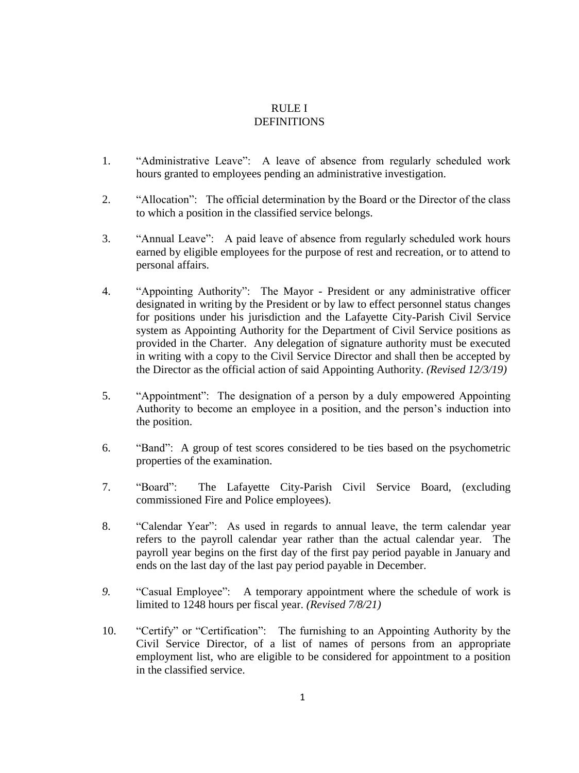## RULE I DEFINITIONS

- 1. "Administrative Leave": A leave of absence from regularly scheduled work hours granted to employees pending an administrative investigation.
- 2. "Allocation": The official determination by the Board or the Director of the class to which a position in the classified service belongs.
- 3. "Annual Leave": A paid leave of absence from regularly scheduled work hours earned by eligible employees for the purpose of rest and recreation, or to attend to personal affairs.
- 4. "Appointing Authority": The Mayor President or any administrative officer designated in writing by the President or by law to effect personnel status changes for positions under his jurisdiction and the Lafayette City-Parish Civil Service system as Appointing Authority for the Department of Civil Service positions as provided in the Charter. Any delegation of signature authority must be executed in writing with a copy to the Civil Service Director and shall then be accepted by the Director as the official action of said Appointing Authority. *(Revised 12/3/19)*
- 5. "Appointment": The designation of a person by a duly empowered Appointing Authority to become an employee in a position, and the person's induction into the position.
- 6. "Band": A group of test scores considered to be ties based on the psychometric properties of the examination.
- 7. "Board": The Lafayette City-Parish Civil Service Board, (excluding commissioned Fire and Police employees).
- 8. "Calendar Year": As used in regards to annual leave, the term calendar year refers to the payroll calendar year rather than the actual calendar year. The payroll year begins on the first day of the first pay period payable in January and ends on the last day of the last pay period payable in December.
- *9.* "Casual Employee": A temporary appointment where the schedule of work is limited to 1248 hours per fiscal year. *(Revised 7/8/21)*
- 10. "Certify" or "Certification": The furnishing to an Appointing Authority by the Civil Service Director, of a list of names of persons from an appropriate employment list, who are eligible to be considered for appointment to a position in the classified service.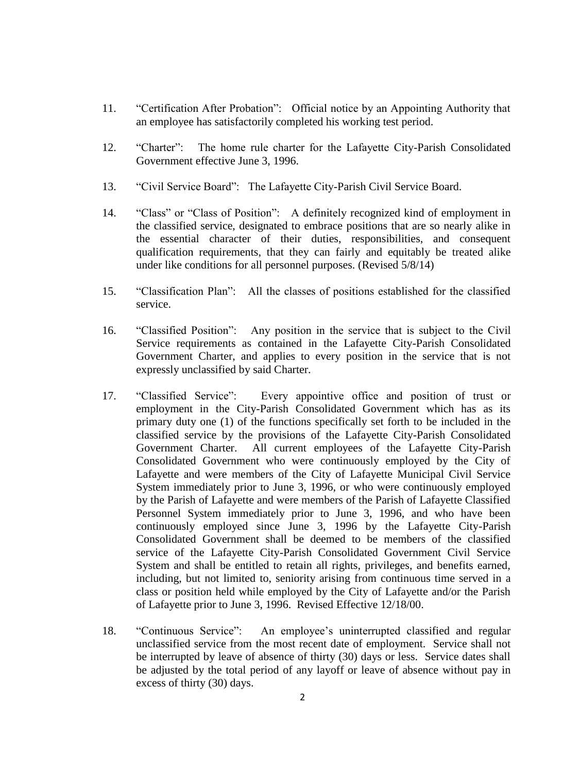- 11. "Certification After Probation": Official notice by an Appointing Authority that an employee has satisfactorily completed his working test period.
- 12. "Charter": The home rule charter for the Lafayette City-Parish Consolidated Government effective June 3, 1996.
- 13. "Civil Service Board": The Lafayette City-Parish Civil Service Board.
- 14. "Class" or "Class of Position": A definitely recognized kind of employment in the classified service, designated to embrace positions that are so nearly alike in the essential character of their duties, responsibilities, and consequent qualification requirements, that they can fairly and equitably be treated alike under like conditions for all personnel purposes. (Revised 5/8/14)
- 15. "Classification Plan": All the classes of positions established for the classified service.
- 16. "Classified Position": Any position in the service that is subject to the Civil Service requirements as contained in the Lafayette City-Parish Consolidated Government Charter, and applies to every position in the service that is not expressly unclassified by said Charter.
- 17. "Classified Service": Every appointive office and position of trust or employment in the City-Parish Consolidated Government which has as its primary duty one (1) of the functions specifically set forth to be included in the classified service by the provisions of the Lafayette City-Parish Consolidated Government Charter. All current employees of the Lafayette City-Parish Consolidated Government who were continuously employed by the City of Lafayette and were members of the City of Lafayette Municipal Civil Service System immediately prior to June 3, 1996, or who were continuously employed by the Parish of Lafayette and were members of the Parish of Lafayette Classified Personnel System immediately prior to June 3, 1996, and who have been continuously employed since June 3, 1996 by the Lafayette City-Parish Consolidated Government shall be deemed to be members of the classified service of the Lafayette City-Parish Consolidated Government Civil Service System and shall be entitled to retain all rights, privileges, and benefits earned, including, but not limited to, seniority arising from continuous time served in a class or position held while employed by the City of Lafayette and/or the Parish of Lafayette prior to June 3, 1996. Revised Effective 12/18/00.
- 18. "Continuous Service": An employee's uninterrupted classified and regular unclassified service from the most recent date of employment. Service shall not be interrupted by leave of absence of thirty (30) days or less. Service dates shall be adjusted by the total period of any layoff or leave of absence without pay in excess of thirty (30) days.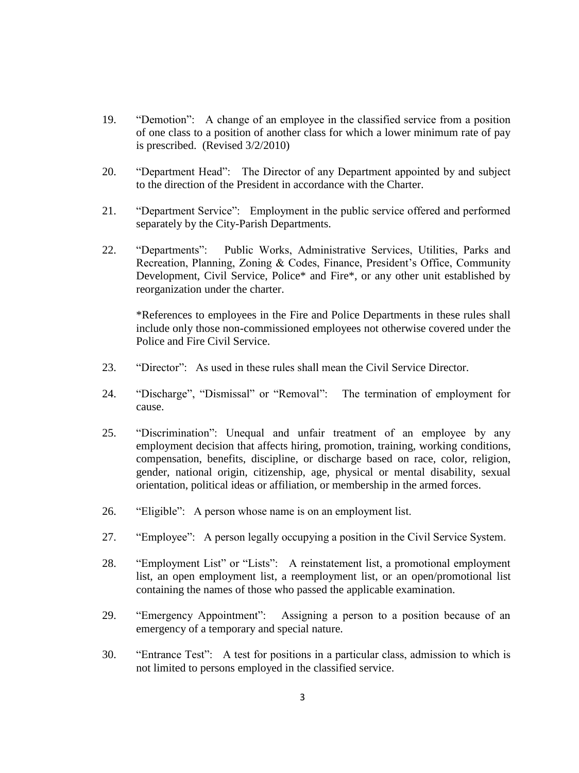- 19. "Demotion": A change of an employee in the classified service from a position of one class to a position of another class for which a lower minimum rate of pay is prescribed. (Revised 3/2/2010)
- 20. "Department Head": The Director of any Department appointed by and subject to the direction of the President in accordance with the Charter.
- 21. "Department Service": Employment in the public service offered and performed separately by the City-Parish Departments.
- 22. "Departments": Public Works, Administrative Services, Utilities, Parks and Recreation, Planning, Zoning & Codes, Finance, President's Office, Community Development, Civil Service, Police\* and Fire\*, or any other unit established by reorganization under the charter.

\*References to employees in the Fire and Police Departments in these rules shall include only those non-commissioned employees not otherwise covered under the Police and Fire Civil Service.

- 23. "Director": As used in these rules shall mean the Civil Service Director.
- 24. "Discharge", "Dismissal" or "Removal": The termination of employment for cause.
- 25. "Discrimination": Unequal and unfair treatment of an employee by any employment decision that affects hiring, promotion, training, working conditions, compensation, benefits, discipline, or discharge based on race, color, religion, gender, national origin, citizenship, age, physical or mental disability, sexual orientation, political ideas or affiliation, or membership in the armed forces.
- 26. "Eligible": A person whose name is on an employment list.
- 27. "Employee": A person legally occupying a position in the Civil Service System.
- 28. "Employment List" or "Lists": A reinstatement list, a promotional employment list, an open employment list, a reemployment list, or an open/promotional list containing the names of those who passed the applicable examination.
- 29. "Emergency Appointment": Assigning a person to a position because of an emergency of a temporary and special nature.
- 30. "Entrance Test": A test for positions in a particular class, admission to which is not limited to persons employed in the classified service.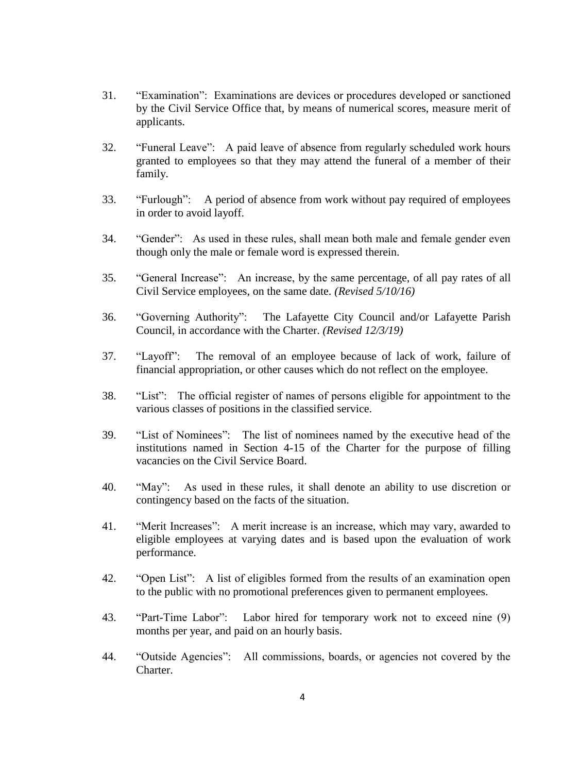- 31. "Examination": Examinations are devices or procedures developed or sanctioned by the Civil Service Office that, by means of numerical scores, measure merit of applicants.
- 32. "Funeral Leave": A paid leave of absence from regularly scheduled work hours granted to employees so that they may attend the funeral of a member of their family.
- 33. "Furlough": A period of absence from work without pay required of employees in order to avoid layoff.
- 34. "Gender": As used in these rules, shall mean both male and female gender even though only the male or female word is expressed therein.
- 35. "General Increase": An increase, by the same percentage, of all pay rates of all Civil Service employees, on the same date. *(Revised 5/10/16)*
- 36. "Governing Authority": The Lafayette City Council and/or Lafayette Parish Council, in accordance with the Charter. *(Revised 12/3/19)*
- 37. "Layoff": The removal of an employee because of lack of work, failure of financial appropriation, or other causes which do not reflect on the employee.
- 38. "List": The official register of names of persons eligible for appointment to the various classes of positions in the classified service.
- 39. "List of Nominees": The list of nominees named by the executive head of the institutions named in Section 4-15 of the Charter for the purpose of filling vacancies on the Civil Service Board.
- 40. "May": As used in these rules, it shall denote an ability to use discretion or contingency based on the facts of the situation.
- 41. "Merit Increases": A merit increase is an increase, which may vary, awarded to eligible employees at varying dates and is based upon the evaluation of work performance.
- 42. "Open List": A list of eligibles formed from the results of an examination open to the public with no promotional preferences given to permanent employees.
- 43. "Part-Time Labor": Labor hired for temporary work not to exceed nine (9) months per year, and paid on an hourly basis.
- 44. "Outside Agencies": All commissions, boards, or agencies not covered by the Charter.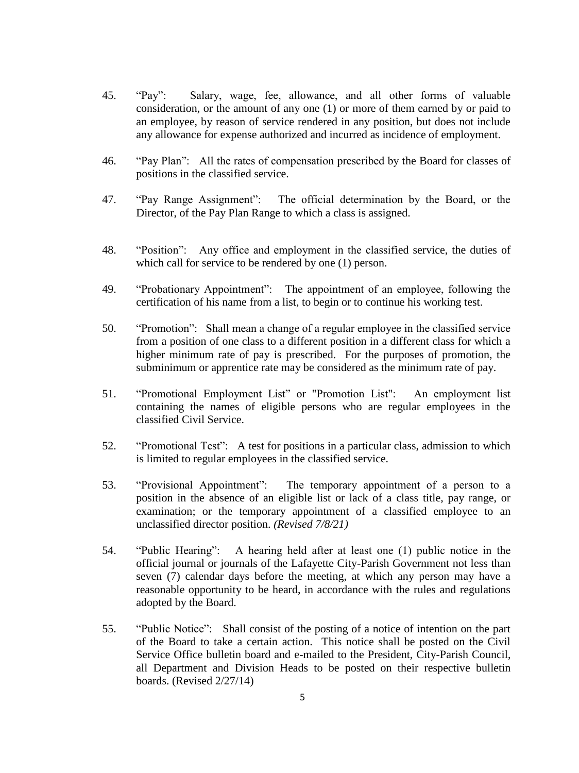- 45. "Pay": Salary, wage, fee, allowance, and all other forms of valuable consideration, or the amount of any one (1) or more of them earned by or paid to an employee, by reason of service rendered in any position, but does not include any allowance for expense authorized and incurred as incidence of employment.
- 46. "Pay Plan": All the rates of compensation prescribed by the Board for classes of positions in the classified service.
- 47. "Pay Range Assignment": The official determination by the Board, or the Director, of the Pay Plan Range to which a class is assigned.
- 48. "Position": Any office and employment in the classified service, the duties of which call for service to be rendered by one (1) person.
- 49. "Probationary Appointment": The appointment of an employee, following the certification of his name from a list, to begin or to continue his working test.
- 50. "Promotion": Shall mean a change of a regular employee in the classified service from a position of one class to a different position in a different class for which a higher minimum rate of pay is prescribed. For the purposes of promotion, the subminimum or apprentice rate may be considered as the minimum rate of pay.
- 51. "Promotional Employment List" or "Promotion List": An employment list containing the names of eligible persons who are regular employees in the classified Civil Service.
- 52. "Promotional Test": A test for positions in a particular class, admission to which is limited to regular employees in the classified service.
- 53. "Provisional Appointment": The temporary appointment of a person to a position in the absence of an eligible list or lack of a class title, pay range, or examination; or the temporary appointment of a classified employee to an unclassified director position. *(Revised 7/8/21)*
- 54. "Public Hearing": A hearing held after at least one (1) public notice in the official journal or journals of the Lafayette City-Parish Government not less than seven (7) calendar days before the meeting, at which any person may have a reasonable opportunity to be heard, in accordance with the rules and regulations adopted by the Board.
- 55. "Public Notice": Shall consist of the posting of a notice of intention on the part of the Board to take a certain action. This notice shall be posted on the Civil Service Office bulletin board and e-mailed to the President, City-Parish Council, all Department and Division Heads to be posted on their respective bulletin boards. (Revised 2/27/14)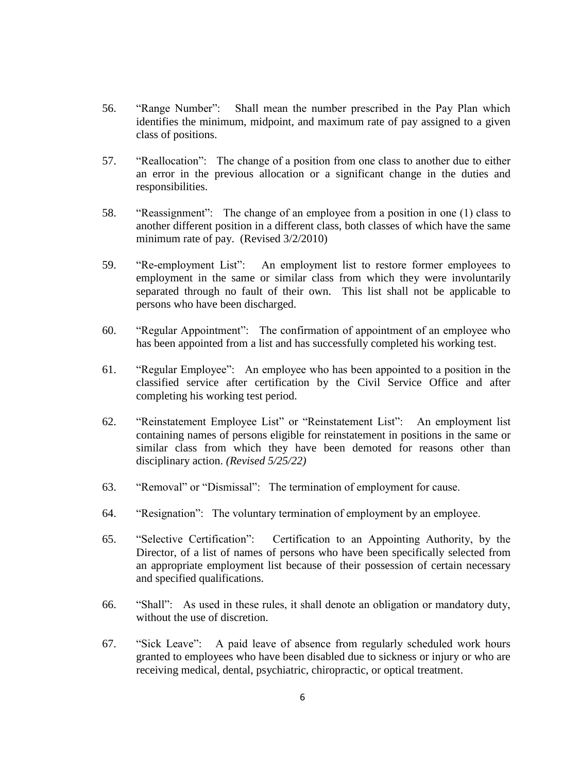- 56. "Range Number": Shall mean the number prescribed in the Pay Plan which identifies the minimum, midpoint, and maximum rate of pay assigned to a given class of positions.
- 57. "Reallocation": The change of a position from one class to another due to either an error in the previous allocation or a significant change in the duties and responsibilities.
- 58. "Reassignment": The change of an employee from a position in one (1) class to another different position in a different class, both classes of which have the same minimum rate of pay. (Revised 3/2/2010)
- 59. "Re-employment List": An employment list to restore former employees to employment in the same or similar class from which they were involuntarily separated through no fault of their own. This list shall not be applicable to persons who have been discharged.
- 60. "Regular Appointment": The confirmation of appointment of an employee who has been appointed from a list and has successfully completed his working test.
- 61. "Regular Employee": An employee who has been appointed to a position in the classified service after certification by the Civil Service Office and after completing his working test period.
- 62. "Reinstatement Employee List" or "Reinstatement List": An employment list containing names of persons eligible for reinstatement in positions in the same or similar class from which they have been demoted for reasons other than disciplinary action. *(Revised 5/25/22)*
- 63. "Removal" or "Dismissal": The termination of employment for cause.
- 64. "Resignation": The voluntary termination of employment by an employee.
- 65. "Selective Certification": Certification to an Appointing Authority, by the Director, of a list of names of persons who have been specifically selected from an appropriate employment list because of their possession of certain necessary and specified qualifications.
- 66. "Shall": As used in these rules, it shall denote an obligation or mandatory duty, without the use of discretion.
- 67. "Sick Leave": A paid leave of absence from regularly scheduled work hours granted to employees who have been disabled due to sickness or injury or who are receiving medical, dental, psychiatric, chiropractic, or optical treatment.